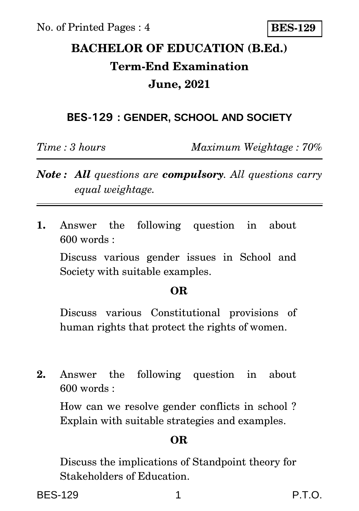No. of Printed Pages : 4

**BES-129**

## **BACHELOR OF EDUCATION (B.Ed.) Term-End Examination June, 2021**

### **BES-129 : GENDER, SCHOOL AND SOCIETY**

*Time : 3 hours Maximum Weightage : 70%*

- *Note : All questions are compulsory. All questions carry equal weightage.*
- **1.** Answer the following question in about 600 words :

Discuss various gender issues in School and Society with suitable examples.

#### **OR**

Discuss various Constitutional provisions of human rights that protect the rights of women.

**2.** Answer the following question in about  $600$  words  $\cdot$ 

How can we resolve gender conflicts in school ? Explain with suitable strategies and examples.

### **OR**

Discuss the implications of Standpoint theory for Stakeholders of Education.

BES-129 1 P.T.O.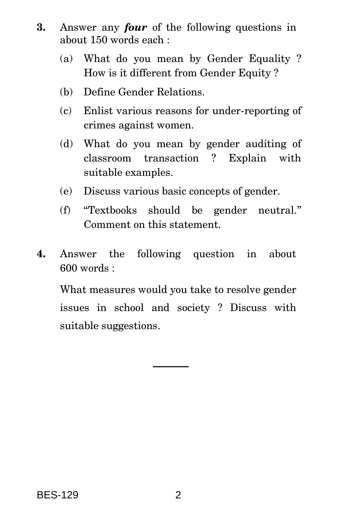- **3.** Answer any *four* of the following questions in about 150 words each :
	- (a) What do you mean by Gender Equality ? How is it different from Gender Equity ?
	- (b) Define Gender Relations.
	- (c) Enlist various reasons for under-reporting of crimes against women.
	- (d) What do you mean by gender auditing of classroom transaction ? Explain with suitable examples.
	- (e) Discuss various basic concepts of gender.
	- (f) ''Textbooks should be gender neutral.'' Comment on this statement.
- **4.** Answer the following question in about 600 words :

What measures would you take to resolve gender issues in school and society ? Discuss with suitable suggestions.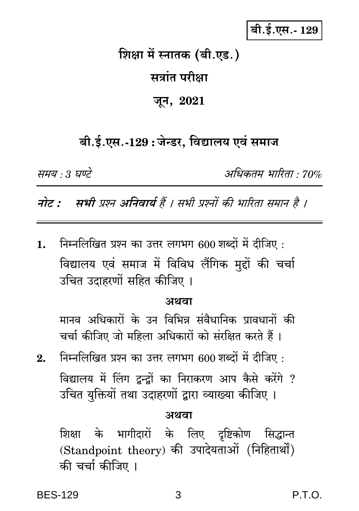### बी.ई.एस.- 129

# शिक्षा में स्नातक (बी.एड.) सत्रांत परीक्षा जून, 2021

### बी.ई.एस.-129 : जेन्डर, विद्यालय एवं समाज

समय : 3 घण्टे

अधिकतम भारिता · 70%

नोट : सभी प्रश्न अनिवार्य हैं । सभी प्रश्नों की भारिता समान है ।

निम्नलिखित प्रश्न का उत्तर लगभग 600 शब्दों में दीजिए : 1. विद्यालय एवं समाज में विविध लैंगिक मुद्दों की चर्चा उचित उदाहरणों सहित कीजिए ।

#### अथवा

मानव अधिकारों के उन विभिन्न संवैधानिक प्रावधानों की चर्चा कीजिए जो महिला अधिकारों को संरक्षित करते हैं।

निम्नलिखित प्रश्न का उत्तर लगभग 600 शब्दों में दीजिए :  $2.$ विद्यालय में लिंग द्वन्द्वों का निराकरण आप कैसे करेंगे ? उचित यक्तियों तथा उदाहरणों द्वारा व्याख्या कीजिए ।

#### अथवा

शिक्षा के भागीदारों के लिए दृष्टिकोण सिद्धान्त (Standpoint theory) की उपादेयताओं (निहितार्थों) की चर्चा कीजिए ।

P.T.O.